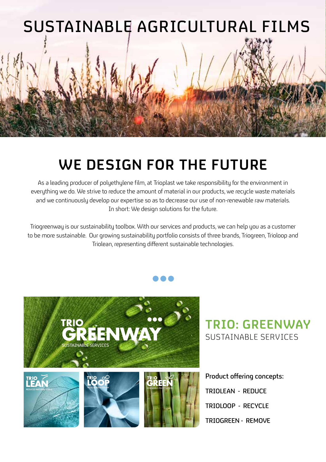

# **WE DESIGN FOR THE FUTURE**

As a leading producer of polyethylene film, at Trioplast we take responsibility for the environment in everything we do. We strive to reduce the amount of material in our products, we recycle waste materials and we continuously develop our expertise so as to decrease our use of non-renewable raw materials. In short: We design solutions for the future.

Triogreenway is our sustainability toolbox. With our services and products, we can help you as a customer to be more sustainable. Our growing sustainability portfolio consists of three brands, Triogreen, Trioloop and Triolean, representing different sustainable technologies.



**TRIO: GREENWAY** SUSTAINABLE SERVICES

Product offering concepts: TRIOLEAN - REDUCE TRIOLOOP - RECYCLE TRIOGREEN - REMOVE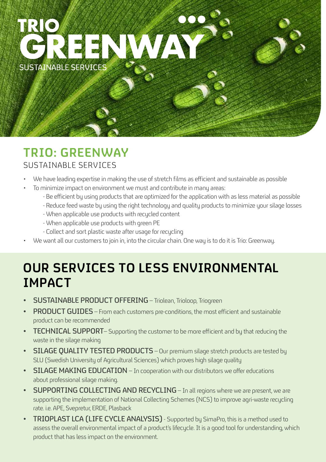

## **TRIO: GREENWAY**  SUSTAINABLE SERVICES

- We have leading expertise in making the use of stretch films as efficient and sustainable as possible
- To minimize impact on environment we must and contribute in many areas:
	- Be efficient by using products that are optimized for the application with as less material as possible
	- Reduce feed waste by using the right technology and quality products to minimize your silage losses
	- When applicable use products with recycled content
	- When applicable use products with green PE
	- Collect and sort plastic waste after usage for recycling
- We want all our customers to join in, into the circular chain. One way is to do it is Trio: Greenway.

## **OUR SERVICES TO LESS ENVIRONMENTAL IMPACT**

- SUSTAINABLE PRODUCT OFFERING Triolean, Trioloop, Triogreen
- PRODUCT GUIDES From each customers pre-conditions, the most efficient and sustainable product can be recommended
- TECHNICAL SUPPORT Supporting the customer to be more efficient and by that reducing the waste in the silage making
- SILAGE OUALITY TESTED PRODUCTS Our premium silage stretch products are tested by SLU (Swedish University of Agricultural Sciences) which proves high silage quality
- SILAGE MAKING EDUCATION In cooperation with our distributors we offer educations about professional silage making.
- SUPPORTING COLLECTING AND RECYCLING In all regions where we are present, we are supporting the implementation of National Collecting Schemes (NCS) to improve agri-waste recycling rate. i.e. APE, Svepretur, ERDE, Plasback
- **FRIOPLAST LCA (LIFE CYCLE ANALYSIS)** Supported by SimaPro, this is a method used to assess the overall environmental impact of a product's lifecycle. It is a good tool for understanding, which product that has less impact on the environment.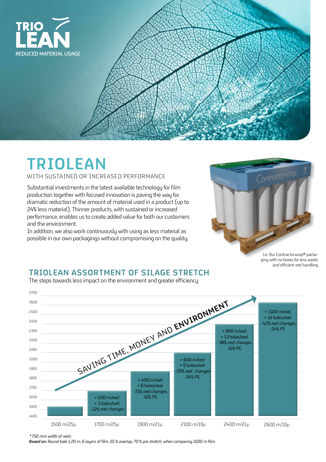

# **TRIOLEAN**

WITH SUSTAINED OR INCREASED PERFORMANCE

Substantial investments in the latest available technology for film production together with focused innovation is paving the way for dramatic reduction of the amount of material used in a product (up to 24% less material). Thinner products, with sustained or increased performance, enables us to create added value for both our customers and the environment.

In addition, we also work continuously with using as less material as possible in our own packagings without compromising on the quality.



I.e. Our Contractorwrap® packaging with no boxes for less waste and efficient reel handling

#### **TRIOLEAN ASSORTMENT OF SILAGE STRETCH**

1500 m/25µ 1700 m/25µ 1900 m/21µ 2100 m/19µ 2400 m/21µ 2700 2600 2500 2400 2300 2200 2100 2000 1900 1800 1700 1600 1500 1400 + 200 m/reel + 3 bales/reel 12% reel changes + 400 m/reel + 6 bales/reel 21% reel changes -16% PE + 600 m/reel + 9 bales/reel - 29% reel changes -24% PE + 900 m/reel + 13 bales/reel 38% reel changes -16% PE + 1100 m/reel + 16 bales/reel - 42% reel changes -24% PE 2600 m/19µ SAVING TIME, MONEY AND ENVIRONMENT

poet of the official effectivitet one greeter emblement The steps towards less impact on the environment and greater efficiency

*\*750 mm width of reels*

*Based on: Round bale 1,20 m, 6 layers of film, 55 % overlap, 70 % pre stretch, when comparing 1500 m film.*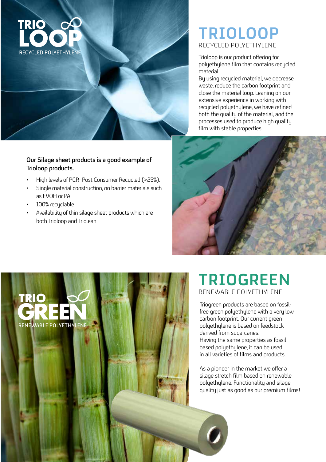

### **TRIOLOOP** RECYCLED POLYETHYLENE

Trioloop is our product offering for polyethylene film that contains recycled material.

By using recycled material, we decrease waste, reduce the carbon footprint and close the material loop. Leaning on our extensive experience in working with recycled polyethylene, we have refined both the quality of the material, and the processes used to produce high quality film with stable properties.



- High levels of PCR- Post Consumer Recycled (>25%).
- Single material construction, no barrier materials such as EVOH or PA.
- 100% recyclable
- Availability of thin silage sheet products which are both Trioloop and Triolean





## **TRIOGREEN** RENEWABLE POLYETHYLENE

Triogreen products are based on fossilfree green polyethylene with a very low carbon footprint. Our current green polyethylene is based on feedstock derived from sugarcanes. Having the same properties as fossilbased polyethylene, it can be used in all varieties of films and products.

As a pioneer in the market we offer a silage stretch film based on renewable polyethylene. Functionality and silage quality just as good as our premium films!